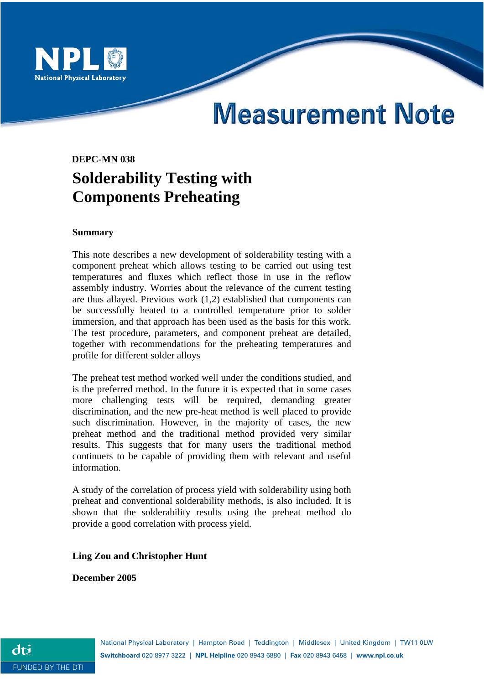

# **Measurement Note**

## **DEPC-MN 038 Solderability Testing with Components Preheating**

#### **Summary**

This note describes a new development of solderability testing with a component preheat which allows testing to be carried out using test temperatures and fluxes which reflect those in use in the reflow assembly industry. Worries about the relevance of the current testing are thus allayed. Previous work (1,2) established that components can be successfully heated to a controlled temperature prior to solder immersion, and that approach has been used as the basis for this work. The test procedure, parameters, and component preheat are detailed, together with recommendations for the preheating temperatures and profile for different solder alloys

The preheat test method worked well under the conditions studied, and is the preferred method. In the future it is expected that in some cases more challenging tests will be required, demanding greater discrimination, and the new pre-heat method is well placed to provide such discrimination. However, in the majority of cases, the new preheat method and the traditional method provided very similar results. This suggests that for many users the traditional method continuers to be capable of providing them with relevant and useful information.

A study of the correlation of process yield with solderability using both preheat and conventional solderability methods, is also included. It is shown that the solderability results using the preheat method do provide a good correlation with process yield.

#### **Ling Zou and Christopher Hunt**

**December 2005**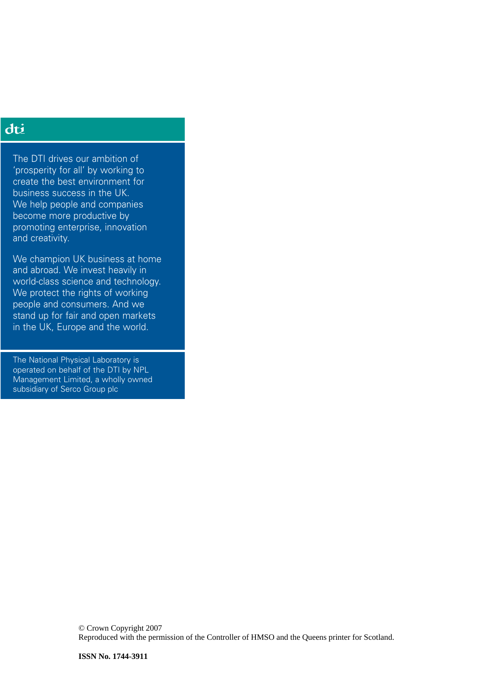### dti

The DTI drives our ambition of 'prosperity for all' by working to create the best environment for business success in the UK. We help people and companies become more productive by promoting enterprise, innovation and creativity.

We champion UK business at home and abroad. We invest heavily in world-class science and technology. We protect the rights of working people and consumers. And we stand up for fair and open markets in the UK, Europe and the world.

The National Physical Laboratory is operated on behalf of the DTI by NPL Management Limited, a wholly owned subsidiary of Serco Group plc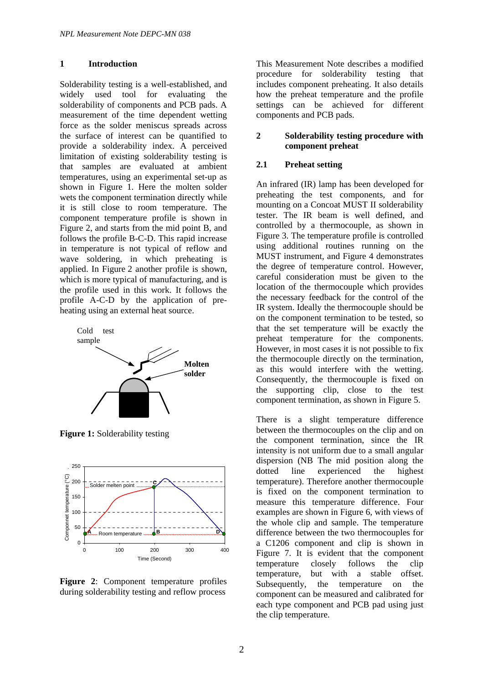#### **1 Introduction**

Solderability testing is a well-established, and widely used tool for evaluating the solderability of components and PCB pads. A measurement of the time dependent wetting force as the solder meniscus spreads across the surface of interest can be quantified to provide a solderability index. A perceived limitation of existing solderability testing is that samples are evaluated at ambient temperatures, using an experimental set-up as shown in Figure 1. Here the molten solder wets the component termination directly while it is still close to room temperature. The component temperature profile is shown in Figure 2, and starts from the mid point B, and follows the profile B-C-D. This rapid increase in temperature is not typical of reflow and wave soldering, in which preheating is applied. In Figure 2 another profile is shown, which is more typical of manufacturing, and is the profile used in this work. It follows the profile A-C-D by the application of preheating using an external heat source.



**Figure 1:** Solderability testing



**Figure 2**: Component temperature profiles during solderability testing and reflow process

This Measurement Note describes a modified procedure for solderability testing that includes component preheating. It also details how the preheat temperature and the profile settings can be achieved for different components and PCB pads.

#### **2 Solderability testing procedure with component preheat**

#### **2.1 Preheat setting**

An infrared (IR) lamp has been developed for preheating the test components, and for mounting on a Concoat MUST II solderability tester. The IR beam is well defined, and controlled by a thermocouple, as shown in Figure 3. The temperature profile is controlled using additional routines running on the MUST instrument, and Figure 4 demonstrates the degree of temperature control. However, careful consideration must be given to the location of the thermocouple which provides the necessary feedback for the control of the IR system. Ideally the thermocouple should be on the component termination to be tested, so that the set temperature will be exactly the preheat temperature for the components. However, in most cases it is not possible to fix the thermocouple directly on the termination, as this would interfere with the wetting. Consequently, the thermocouple is fixed on the supporting clip, close to the test component termination, as shown in Figure 5.

There is a slight temperature difference between the thermocouples on the clip and on the component termination, since the IR intensity is not uniform due to a small angular dispersion (NB The mid position along the dotted line experienced the highest temperature). Therefore another thermocouple is fixed on the component termination to measure this temperature difference. Four examples are shown in Figure 6, with views of the whole clip and sample. The temperature difference between the two thermocouples for a C1206 component and clip is shown in Figure 7. It is evident that the component temperature closely follows the clip temperature, but with a stable offset. Subsequently, the temperature on the component can be measured and calibrated for each type component and PCB pad using just the clip temperature.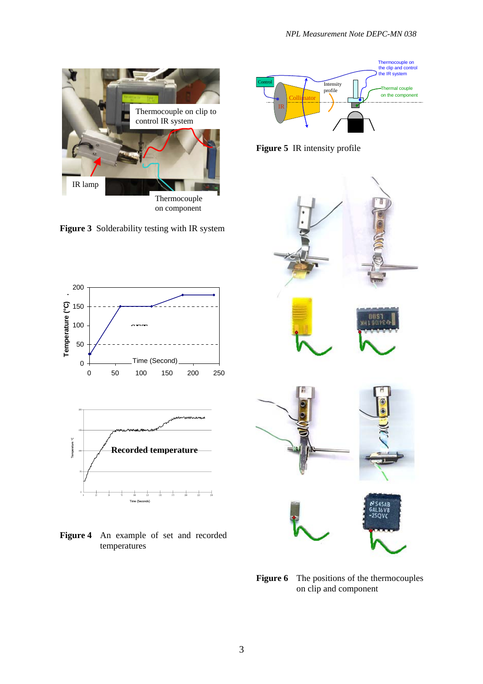

**Figure 3** Solderability testing with IR system





**Figure 4** An example of set and recorded temperatures



**Figure 5** IR intensity profile



**Figure 6** The positions of the thermocouples on clip and component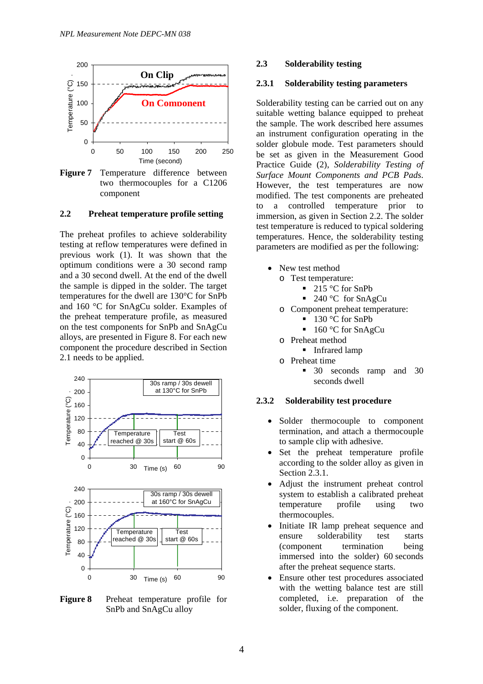

**Figure 7** Temperature difference between two thermocouples for a C1206 component

#### **2.2 Preheat temperature profile setting**

The preheat profiles to achieve solderability testing at reflow temperatures were defined in previous work (1). It was shown that the optimum conditions were a 30 second ramp and a 30 second dwell. At the end of the dwell the sample is dipped in the solder. The target temperatures for the dwell are 130°C for SnPb and 160 °C for SnAgCu solder. Examples of the preheat temperature profile, as measured on the test components for SnPb and SnAgCu alloys, are presented in Figure 8. For each new component the procedure described in Section 2.1 needs to be applied.



**Figure 8** Preheat temperature profile for SnPb and SnAgCu alloy

#### **2.3 Solderability testing**

#### **2.3.1 Solderability testing parameters**

Solderability testing can be carried out on any suitable wetting balance equipped to preheat the sample. The work described here assumes an instrument configuration operating in the solder globule mode. Test parameters should be set as given in the Measurement Good Practice Guide (2), *Solderability Testing of Surface Mount Components and PCB Pads*. However, the test temperatures are now modified. The test components are preheated to a controlled temperature prior to immersion, as given in Section 2.2. The solder test temperature is reduced to typical soldering temperatures. Hence, the solderability testing parameters are modified as per the following:

- New test method
	- o Test temperature:
		- 215 °C for SnPb
		- 240 °C for SnAgCu
	- o Component preheat temperature:
		- $\blacksquare$  130 °C for SnPh
		- $\blacksquare$  160 °C for SnAgCu
	- o Preheat method
		- **Infrared lamp**
	- o Preheat time
		- **30** seconds ramp and 30 seconds dwell

#### **2.3.2 Solderability test procedure**

- Solder thermocouple to component termination, and attach a thermocouple to sample clip with adhesive.
- Set the preheat temperature profile according to the solder alloy as given in Section 2.3.1.
- Adjust the instrument preheat control system to establish a calibrated preheat temperature profile using two thermocouples.
- Initiate IR lamp preheat sequence and ensure solderability test starts (component termination being immersed into the solder) 60 seconds after the preheat sequence starts.
- Ensure other test procedures associated with the wetting balance test are still completed, i.e. preparation of the solder, fluxing of the component.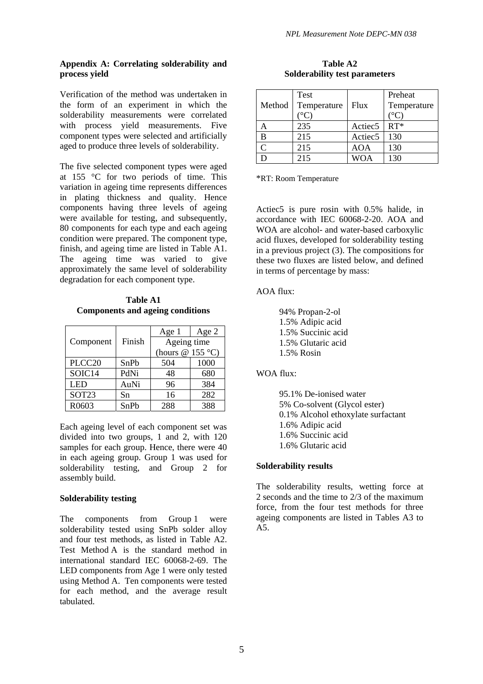#### **Appendix A: Correlating solderability and process yield**

Verification of the method was undertaken in the form of an experiment in which the solderability measurements were correlated with process yield measurements. Five component types were selected and artificially aged to produce three levels of solderability.

The five selected component types were aged at 155 °C for two periods of time. This variation in ageing time represents differences in plating thickness and quality. Hence components having three levels of ageing were available for testing, and subsequently, 80 components for each type and each ageing condition were prepared. The component type, finish, and ageing time are listed in Table A1. The ageing time was varied to give approximately the same level of solderability degradation for each component type.

**Table A1 Components and ageing conditions** 

|                    |        | Age 1             | Age 2 |
|--------------------|--------|-------------------|-------|
| Component          | Finish | Ageing time       |       |
|                    |        | (hours $@155°C$ ) |       |
| PLCC <sub>20</sub> | SnPb   | 504               | 1000  |
| SOIC14             | PdNi   | 48                | 680   |
| <b>LED</b>         | AuNi   | 96                | 384   |
| SOT <sub>23</sub>  | Sn     | 16                | 282   |
| R0603              | SnPb   | 288               | 388   |

Each ageing level of each component set was divided into two groups, 1 and 2, with 120 samples for each group. Hence, there were 40 in each ageing group. Group 1 was used for solderability testing, and Group 2 for assembly build.

#### **Solderability testing**

The components from Group 1 were solderability tested using SnPb solder alloy and four test methods, as listed in Table A2. Test Method A is the standard method in international standard IEC 60068-2-69. The LED components from Age 1 were only tested using Method A. Ten components were tested for each method, and the average result tabulated.

| Table A2                             |  |  |  |
|--------------------------------------|--|--|--|
| <b>Solderability test parameters</b> |  |  |  |

| Method | <b>Test</b><br>Temperature<br>$^{\circ}C$ | Flux                | Preheat<br>Temperature<br>$^{\circ}$ C) |
|--------|-------------------------------------------|---------------------|-----------------------------------------|
| A      | 235                                       | Actiec <sub>5</sub> | $RT^*$                                  |
| B      | 215                                       | Actiec <sub>5</sub> | 130                                     |
| C      | 215                                       | AOA                 | 130                                     |
|        | 215                                       | <b>WOA</b>          | 130                                     |

\*RT: Room Temperature

Actiec5 is pure rosin with 0.5% halide, in accordance with IEC 60068-2-20. AOA and WOA are alcohol- and water-based carboxylic acid fluxes, developed for solderability testing in a previous project (3). The compositions for these two fluxes are listed below, and defined in terms of percentage by mass:

#### AOA flux:

94% Propan-2-ol 1.5% Adipic acid 1.5% Succinic acid 1.5% Glutaric acid 1.5% Rosin

#### WOA flux:

95.1% De-ionised water 5% Co-solvent (Glycol ester) 0.1% Alcohol ethoxylate surfactant 1.6% Adipic acid 1.6% Succinic acid 1.6% Glutaric acid

#### **Solderability results**

The solderability results, wetting force at 2 seconds and the time to 2/3 of the maximum force, from the four test methods for three ageing components are listed in Tables A3 to A5.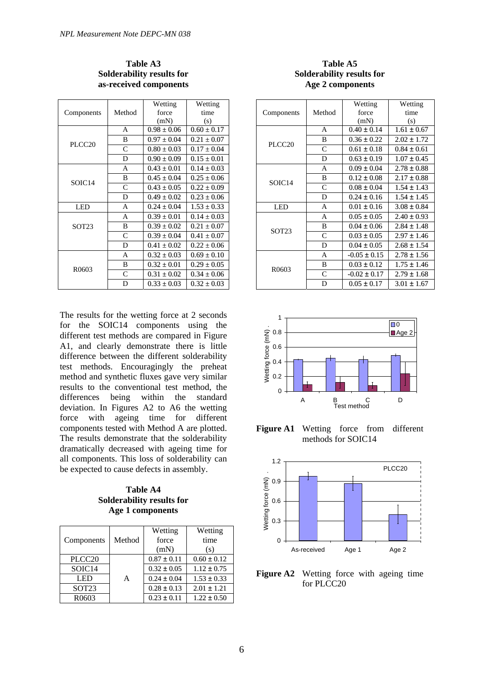|                    |              | Wetting         | Wetting         |
|--------------------|--------------|-----------------|-----------------|
| Components         | Method       | force           | time            |
|                    |              | (mN)            | (s)             |
|                    | A            | $0.98 \pm 0.06$ | $0.60 \pm 0.17$ |
| PLCC <sub>20</sub> | B            | $0.97 \pm 0.04$ | $0.21 \pm 0.07$ |
|                    | $\mathsf{C}$ | $0.80 \pm 0.03$ | $0.17 \pm 0.04$ |
|                    | D            | $0.90 \pm 0.09$ | $0.15 \pm 0.01$ |
|                    | A            | $0.43 \pm 0.01$ | $0.14 \pm 0.03$ |
|                    | B            | $0.45 \pm 0.04$ | $0.25 \pm 0.06$ |
| SOIC <sub>14</sub> | C            | $0.43 \pm 0.05$ | $0.22 \pm 0.09$ |
|                    | D            | $0.49 \pm 0.02$ | $0.23 \pm 0.06$ |
| LED                | A            | $0.24 \pm 0.04$ | $1.53 \pm 0.33$ |
| SOT <sub>23</sub>  | A            | $0.39 \pm 0.01$ | $0.14 \pm 0.03$ |
|                    | B            | $0.39 \pm 0.02$ | $0.21 \pm 0.07$ |
|                    | $\mathsf{C}$ | $0.39 \pm 0.04$ | $0.41 \pm 0.07$ |
|                    | D            | $0.41 \pm 0.02$ | $0.22 \pm 0.06$ |
| R <sub>0603</sub>  | A            | $0.32 \pm 0.03$ | $0.69 \pm 0.10$ |
|                    | B            | $0.32 \pm 0.01$ | $0.29 \pm 0.05$ |
|                    | $\mathsf{C}$ | $0.31 \pm 0.02$ | $0.34 \pm 0.06$ |
|                    | D            | $0.33 \pm 0.03$ | $0.32 \pm 0.03$ |

#### **Table A3 Solderability results for as-received components**

The results for the wetting force at 2 seconds for the SOIC14 components using the different test methods are compared in Figure A1, and clearly demonstrate there is little difference between the different solderability test methods. Encouragingly the preheat method and synthetic fluxes gave very similar results to the conventional test method, the differences being within the standard deviation. In Figures A2 to A6 the wetting force with ageing time for different components tested with Method A are plotted. The results demonstrate that the solderability dramatically decreased with ageing time for all components. This loss of solderability can be expected to cause defects in assembly.

**Table A4 Solderability results for Age 1 components** 

|                    |        | Wetting         | Wetting         |
|--------------------|--------|-----------------|-----------------|
| Components         | Method | force           | time            |
|                    |        | (mN)            | (s)             |
| PLCC <sub>20</sub> |        | $0.87 \pm 0.11$ | $0.60 \pm 0.12$ |
| SOIC14             |        | $0.32 \pm 0.05$ | $1.12 \pm 0.75$ |
| <b>LED</b>         | A      | $0.24 \pm 0.04$ | $1.53 \pm 0.33$ |
| SOT <sub>23</sub>  |        | $0.28 \pm 0.13$ | $2.01 \pm 1.21$ |
| R <sub>06</sub> 03 |        | $0.23 \pm 0.11$ | $1.22 \pm 0.50$ |

#### **Table A5 Solderability results for Age 2 components**

|                    |              | Wetting          | Wetting         |
|--------------------|--------------|------------------|-----------------|
| Components         | Method       | force            | time            |
|                    |              | (mN)             | (s)             |
|                    | A            | $0.40 \pm 0.14$  | $1.61 \pm 0.67$ |
| PLCC <sub>20</sub> | B            | $0.36 \pm 0.22$  | $2.02 \pm 1.72$ |
|                    | $\mathsf{C}$ | $0.61 \pm 0.18$  | $0.84 \pm 0.61$ |
|                    | D            | $0.63 \pm 0.19$  | $1.07 \pm 0.45$ |
|                    | A            | $0.09 \pm 0.04$  | $2.78 \pm 0.88$ |
|                    | B            | $0.12 \pm 0.08$  | $2.17 \pm 0.88$ |
| SOIC <sub>14</sub> | C            | $0.08 \pm 0.04$  | $1.54 \pm 1.43$ |
|                    | D            | $0.24 \pm 0.16$  | $1.54 \pm 1.45$ |
| LED                | A            | $0.01 \pm 0.16$  | $3.08 \pm 0.84$ |
| SOT <sub>23</sub>  | A            | $0.05 \pm 0.05$  | $2.40 \pm 0.93$ |
|                    | B            | $0.04 \pm 0.06$  | $2.84 \pm 1.48$ |
|                    | $\mathsf{C}$ | $0.03 \pm 0.05$  | $2.97 + 1.46$   |
|                    | D            | $0.04 \pm 0.05$  | $2.68 \pm 1.54$ |
| R <sub>0603</sub>  | A            | $-0.05 \pm 0.15$ | $2.78 \pm 1.56$ |
|                    | B            | $0.03 \pm 0.12$  | $1.75 \pm 1.46$ |
|                    | C            | $-0.02 \pm 0.17$ | $2.79 \pm 1.68$ |
|                    | D            | $0.05 \pm 0.17$  | $3.01 \pm 1.67$ |



**Figure A1** Wetting force from different methods for SOIC14



**Figure A2** Wetting force with ageing time for PLCC20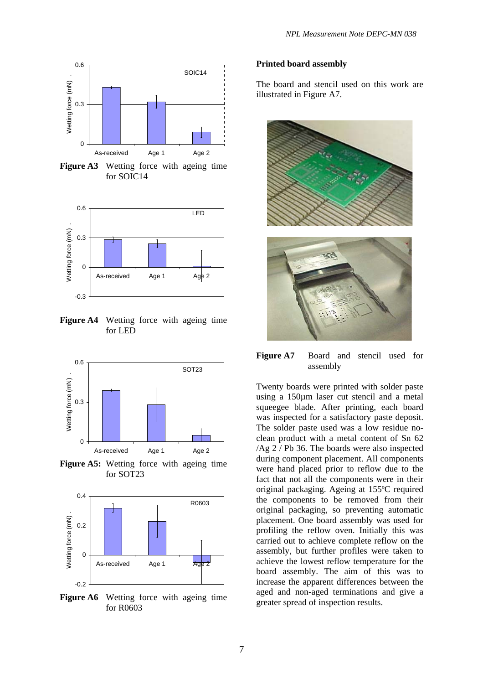

**Figure A3** Wetting force with ageing time for SOIC14

![](_page_7_Figure_3.jpeg)

**Figure A4** Wetting force with ageing time for LED

![](_page_7_Figure_5.jpeg)

**Figure A5:** Wetting force with ageing time for SOT23

![](_page_7_Figure_7.jpeg)

**Figure A6** Wetting force with ageing time for R0603

#### **Printed board assembly**

The board and stencil used on this work are illustrated in Figure A7.

![](_page_7_Picture_11.jpeg)

**Figure A7** Board and stencil used for assembly

Twenty boards were printed with solder paste using a 150µm laser cut stencil and a metal squeegee blade. After printing, each board was inspected for a satisfactory paste deposit. The solder paste used was a low residue noclean product with a metal content of Sn 62 /Ag 2 / Pb 36. The boards were also inspected during component placement. All components were hand placed prior to reflow due to the fact that not all the components were in their original packaging. Ageing at 155ºC required the components to be removed from their original packaging, so preventing automatic placement. One board assembly was used for profiling the reflow oven. Initially this was carried out to achieve complete reflow on the assembly, but further profiles were taken to achieve the lowest reflow temperature for the board assembly. The aim of this was to increase the apparent differences between the aged and non-aged terminations and give a greater spread of inspection results.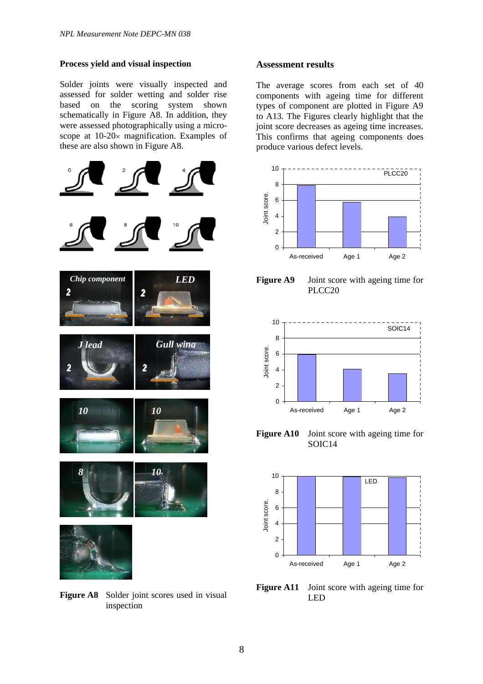#### **Process yield and visual inspection**

Solder joints were visually inspected and assessed for solder wetting and solder rise based on the scoring system shown schematically in Figure A8. In addition, they were assessed photographically using a microscope at 10-20× magnification. Examples of these are also shown in Figure A8.

![](_page_8_Figure_3.jpeg)

**Figure A8** Solder joint scores used in visual inspection

#### **Assessment results**

The average scores from each set of 40 components with ageing time for different types of component are plotted in Figure A9 to A13. The Figures clearly highlight that the joint score decreases as ageing time increases. This confirms that ageing components does produce various defect levels.

![](_page_8_Figure_7.jpeg)

PLCC20

![](_page_8_Figure_9.jpeg)

**Figure A10** Joint score with ageing time for SOIC14

![](_page_8_Figure_11.jpeg)

**Figure A11** Joint score with ageing time for LED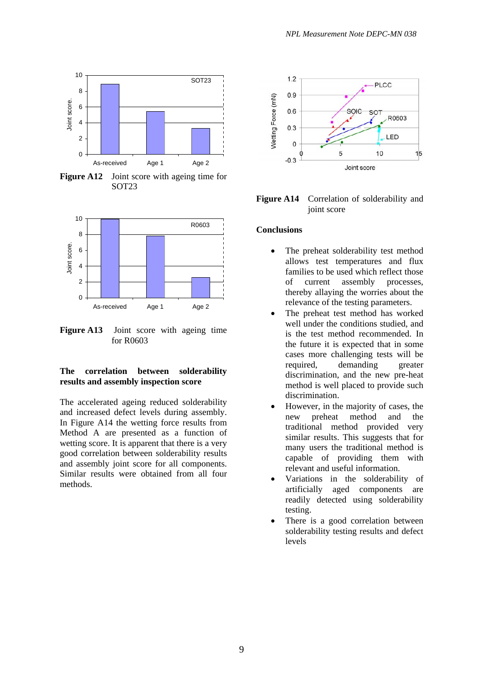![](_page_9_Figure_0.jpeg)

**Figure A12** Joint score with ageing time for SOT23

![](_page_9_Figure_2.jpeg)

**Figure A13** Joint score with ageing time for R0603

#### **The correlation between solderability results and assembly inspection score**

The accelerated ageing reduced solderability and increased defect levels during assembly. In Figure A14 the wetting force results from Method A are presented as a function of wetting score. It is apparent that there is a very good correlation between solderability results and assembly joint score for all components. Similar results were obtained from all four methods.

![](_page_9_Figure_7.jpeg)

**Figure A14** Correlation of solderability and joint score

#### **Conclusions**

- The preheat solderability test method allows test temperatures and flux families to be used which reflect those of current assembly processes, thereby allaying the worries about the relevance of the testing parameters.
- The preheat test method has worked well under the conditions studied, and is the test method recommended. In the future it is expected that in some cases more challenging tests will be required, demanding greater discrimination, and the new pre-heat method is well placed to provide such discrimination.
- However, in the majority of cases, the new preheat method and the traditional method provided very similar results. This suggests that for many users the traditional method is capable of providing them with relevant and useful information.
- Variations in the solderability of artificially aged components are readily detected using solderability testing.
- There is a good correlation between solderability testing results and defect levels